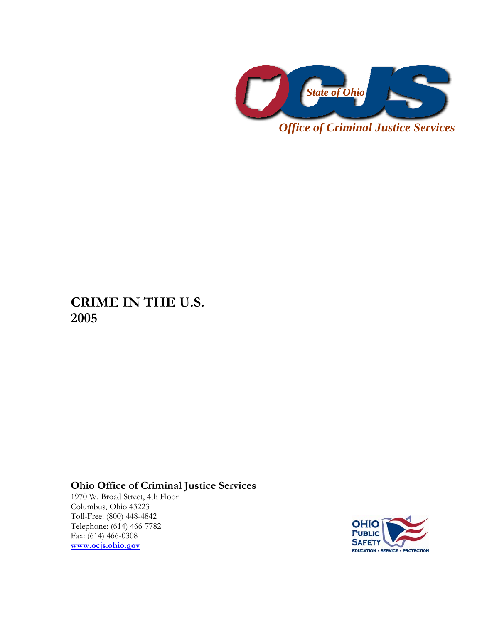

**CRIME IN THE U.S. 2005** 

## **Ohio Office of Criminal Justice Services**

1970 W. Broad Street, 4th Floor Columbus, Ohio 43223 Toll-Free: (800) 448-4842 Telephone: (614) 466-7782 Fax: (614) 466-0308 **www.ocjs.ohio.gov**

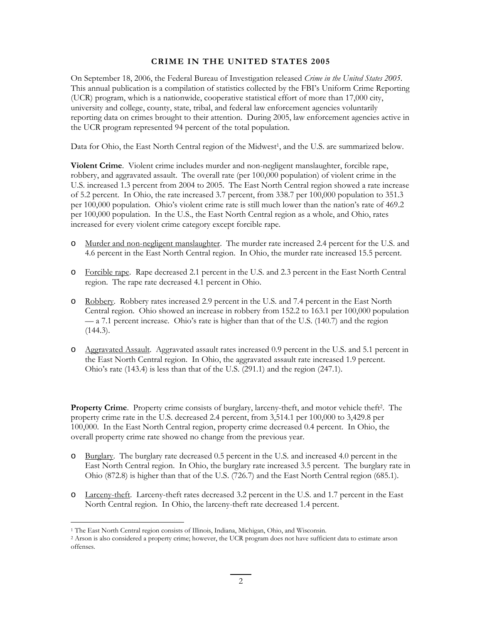## **CRIME IN THE UNITED STATES 2005**

On September 18, 2006, the Federal Bureau of Investigation released *Crime in the United States 2005*. This annual publication is a compilation of statistics collected by the FBI's Uniform Crime Reporting (UCR) program, which is a nationwide, cooperative statistical effort of more than 17,000 city, university and college, county, state, tribal, and federal law enforcement agencies voluntarily reporting data on crimes brought to their attention. During 2005, law enforcement agencies active in the UCR program represented 94 percent of the total population.

Data for Ohio, the East North Central region of the Midwest<sup>1</sup>, and the U.S. are summarized below.

**Violent Crime**. Violent crime includes murder and non-negligent manslaughter, forcible rape, robbery, and aggravated assault. The overall rate (per 100,000 population) of violent crime in the U.S. increased 1.3 percent from 2004 to 2005. The East North Central region showed a rate increase of 5.2 percent. In Ohio, the rate increased 3.7 percent, from 338.7 per 100,000 population to 351.3 per 100,000 population. Ohio's violent crime rate is still much lower than the nation's rate of 469.2 per 100,000 population. In the U.S., the East North Central region as a whole, and Ohio, rates increased for every violent crime category except forcible rape.

- o Murder and non-negligent manslaughter. The murder rate increased 2.4 percent for the U.S. and 4.6 percent in the East North Central region. In Ohio, the murder rate increased 15.5 percent.
- o Forcible rape. Rape decreased 2.1 percent in the U.S. and 2.3 percent in the East North Central region. The rape rate decreased 4.1 percent in Ohio.
- o Robbery. Robbery rates increased 2.9 percent in the U.S. and 7.4 percent in the East North Central region. Ohio showed an increase in robbery from 152.2 to 163.1 per 100,000 population — a 7.1 percent increase. Ohio's rate is higher than that of the U.S. (140.7) and the region  $(144.3).$
- o Aggravated Assault. Aggravated assault rates increased 0.9 percent in the U.S. and 5.1 percent in the East North Central region. In Ohio, the aggravated assault rate increased 1.9 percent. Ohio's rate (143.4) is less than that of the U.S. (291.1) and the region (247.1).

**Property Crime**. Property crime consists of burglary, larceny-theft, and motor vehicle theft<sup>2</sup>. The property crime rate in the U.S. decreased 2.4 percent, from 3,514.1 per 100,000 to 3,429.8 per 100,000. In the East North Central region, property crime decreased 0.4 percent. In Ohio, the overall property crime rate showed no change from the previous year.

- o Burglary. The burglary rate decreased 0.5 percent in the U.S. and increased 4.0 percent in the East North Central region. In Ohio, the burglary rate increased 3.5 percent. The burglary rate in Ohio (872.8) is higher than that of the U.S. (726.7) and the East North Central region (685.1).
- o Larceny-theft. Larceny-theft rates decreased 3.2 percent in the U.S. and 1.7 percent in the East North Central region. In Ohio, the larceny-theft rate decreased 1.4 percent.

<u>.</u>

<sup>1</sup> The East North Central region consists of Illinois, Indiana, Michigan, Ohio, and Wisconsin.

<sup>2</sup> Arson is also considered a property crime; however, the UCR program does not have sufficient data to estimate arson offenses.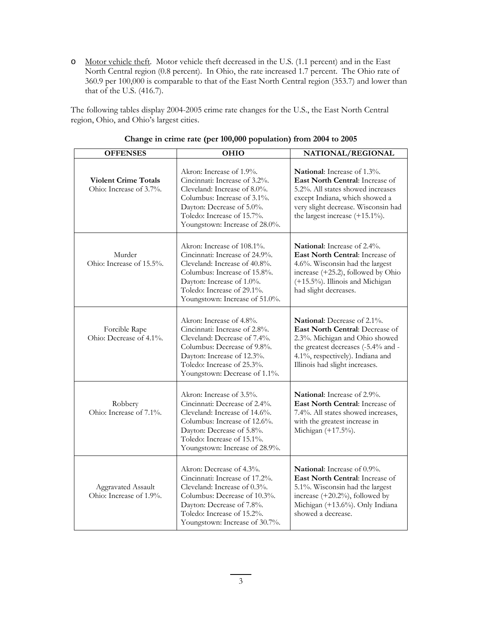o Motor vehicle theft. Motor vehicle theft decreased in the U.S. (1.1 percent) and in the East North Central region (0.8 percent). In Ohio, the rate increased 1.7 percent. The Ohio rate of 360.9 per 100,000 is comparable to that of the East North Central region (353.7) and lower than that of the U.S. (416.7).

The following tables display 2004-2005 crime rate changes for the U.S., the East North Central region, Ohio, and Ohio's largest cities.

| <b>OFFENSES</b>                                        | OHIO                                                                                                                                                                                                                       | NATIONAL/REGIONAL                                                                                                                                                                                                                |
|--------------------------------------------------------|----------------------------------------------------------------------------------------------------------------------------------------------------------------------------------------------------------------------------|----------------------------------------------------------------------------------------------------------------------------------------------------------------------------------------------------------------------------------|
| <b>Violent Crime Totals</b><br>Ohio: Increase of 3.7%. | Akron: Increase of 1.9%.<br>Cincinnati: Increase of 3.2%.<br>Cleveland: Increase of 8.0%.<br>Columbus: Increase of 3.1%.<br>Dayton: Decrease of 5.0%.<br>Toledo: Increase of 15.7%.<br>Youngstown: Increase of 28.0%.      | <b>National:</b> Increase of 1.3%.<br><b>East North Central:</b> Increase of<br>5.2%. All states showed increases<br>except Indiana, which showed a<br>very slight decrease. Wisconsin had<br>the largest increase $(+15.1\%)$ . |
| Murder<br>Ohio: Increase of 15.5%.                     | Akron: Increase of 108.1%.<br>Cincinnati: Increase of 24.9%.<br>Cleveland: Increase of 40.8%.<br>Columbus: Increase of 15.8%.<br>Dayton: Increase of 1.0%.<br>Toledo: Increase of 29.1%.<br>Youngstown: Increase of 51.0%. | <b>National:</b> Increase of 2.4%.<br>East North Central: Increase of<br>4.6%. Wisconsin had the largest<br>increase (+25.2), followed by Ohio<br>(+15.5%). Illinois and Michigan<br>had slight decreases.                       |
| Forcible Rape<br>Ohio: Decrease of 4.1%.               | Akron: Increase of 4.8%.<br>Cincinnati: Increase of 2.8%.<br>Cleveland: Decrease of 7.4%.<br>Columbus: Decrease of 9.8%.<br>Dayton: Increase of 12.3%.<br>Toledo: Increase of 25.3%.<br>Youngstown: Decrease of 1.1%.      | <b>National:</b> Decrease of 2.1%.<br>East North Central: Decrease of<br>2.3%. Michigan and Ohio showed<br>the greatest decreases (-5.4% and -<br>4.1%, respectively). Indiana and<br>Illinois had slight increases.             |
| Robbery<br>Ohio: Increase of 7.1%.                     | Akron: Increase of 3.5%.<br>Cincinnati: Decrease of 2.4%.<br>Cleveland: Increase of 14.6%.<br>Columbus: Increase of 12.6%.<br>Dayton: Decrease of 5.8%.<br>Toledo: Increase of 15.1%.<br>Youngstown: Increase of 28.9%.    | National: Increase of 2.9%.<br>East North Central: Increase of<br>7.4%. All states showed increases,<br>with the greatest increase in<br>Michigan (+17.5%).                                                                      |
| <b>Aggravated Assault</b><br>Ohio: Increase of 1.9%.   | Akron: Decrease of 4.3%.<br>Cincinnati: Increase of 17.2%.<br>Cleveland: Increase of 0.3%.<br>Columbus: Decrease of 10.3%.<br>Dayton: Decrease of 7.8%.<br>Toledo: Increase of 15.2%.<br>Youngstown: Increase of 30.7%.    | <b>National:</b> Increase of 0.9%.<br>East North Central: Increase of<br>5.1%. Wisconsin had the largest<br>increase $(+20.2\%)$ , followed by<br>Michigan (+13.6%). Only Indiana<br>showed a decrease.                          |

| Change in crime rate (per 100,000 population) from 2004 to 2005 |  |
|-----------------------------------------------------------------|--|
|-----------------------------------------------------------------|--|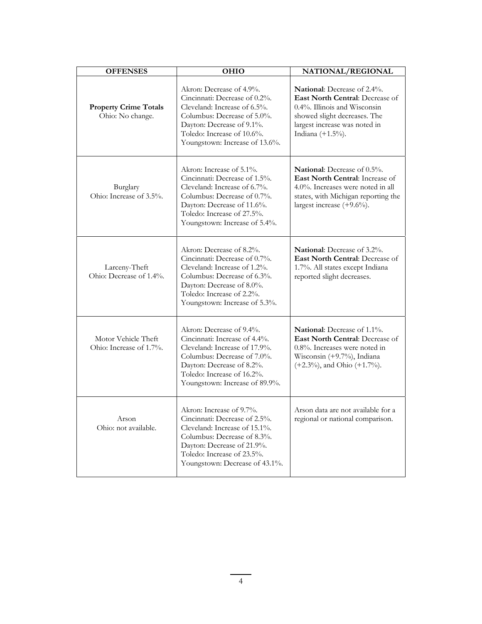| <b>OFFENSES</b>                                  | <b>OHIO</b>                                                                                                                                                                                                             | NATIONAL/REGIONAL                                                                                                                                                                           |
|--------------------------------------------------|-------------------------------------------------------------------------------------------------------------------------------------------------------------------------------------------------------------------------|---------------------------------------------------------------------------------------------------------------------------------------------------------------------------------------------|
| <b>Property Crime Totals</b><br>Ohio: No change. | Akron: Decrease of 4.9%.<br>Cincinnati: Decrease of 0.2%.<br>Cleveland: Increase of 6.5%.<br>Columbus: Decrease of 5.0%.<br>Dayton: Decrease of 9.1%.<br>Toledo: Increase of 10.6%.<br>Youngstown: Increase of 13.6%.   | National: Decrease of 2.4%.<br>East North Central: Decrease of<br>$0.4\%$ . Illinois and Wisconsin<br>showed slight decreases. The<br>largest increase was noted in<br>Indiana $(+1.5\%)$ . |
| Burglary<br>Ohio: Increase of 3.5%.              | Akron: Increase of 5.1%.<br>Cincinnati: Decrease of 1.5%.<br>Cleveland: Increase of 6.7%.<br>Columbus: Decrease of 0.7%.<br>Dayton: Decrease of 11.6%.<br>Toledo: Increase of 27.5%.<br>Youngstown: Increase of 5.4%.   | National: Decrease of 0.5%.<br>East North Central: Increase of<br>$4.0\%$ . Increases were noted in all<br>states, with Michigan reporting the<br>largest increase $(+9.6\%)$ .             |
| Larceny-Theft<br>Ohio: Decrease of 1.4%.         | Akron: Decrease of 8.2%.<br>Cincinnati: Decrease of 0.7%.<br>Cleveland: Increase of 1.2%.<br>Columbus: Decrease of 6.3%.<br>Dayton: Decrease of 8.0%.<br>Toledo: Increase of 2.2%.<br>Youngstown: Increase of 5.3%.     | <b>National:</b> Decrease of 3.2%.<br><b>East North Central: Decrease of</b><br>1.7%. All states except Indiana<br>reported slight decreases.                                               |
| Motor Vehicle Theft<br>Ohio: Increase of 1.7%.   | Akron: Decrease of 9.4%.<br>Cincinnati: Increase of 4.4%.<br>Cleveland: Increase of 17.9%.<br>Columbus: Decrease of 7.0%.<br>Dayton: Decrease of 8.2%.<br>Toledo: Increase of 16.2%.<br>Youngstown: Increase of 89.9%.  | National: Decrease of 1.1%.<br><b>East North Central: Decrease of</b><br>$0.8\%$ . Increases were noted in<br>Wisconsin (+9.7%), Indiana<br>$(+2.3\%)$ , and Ohio $(+1.7\%)$ .              |
| Arson<br>Ohio: not available.                    | Akron: Increase of 9.7%.<br>Cincinnati: Decrease of 2.5%.<br>Cleveland: Increase of 15.1%.<br>Columbus: Decrease of 8.3%.<br>Dayton: Decrease of 21.9%.<br>Toledo: Increase of 23.5%.<br>Youngstown: Decrease of 43.1%. | Arson data are not available for a<br>regional or national comparison.                                                                                                                      |